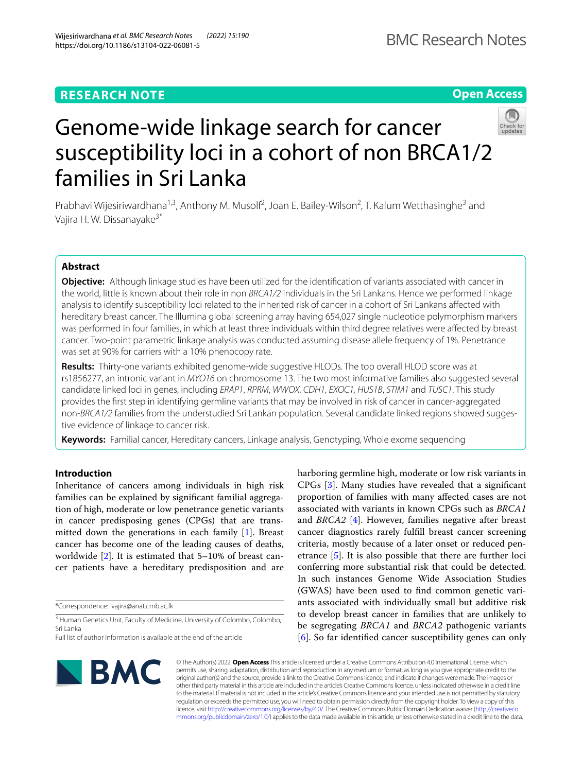**Open Access**



# Genome-wide linkage search for cancer susceptibility loci in a cohort of non BRCA1/2 families in Sri Lanka

Prabhavi Wijesiriwardhana<sup>1,3</sup>, Anthony M. Musolf<sup>2</sup>, Joan E. Bailey-Wilson<sup>2</sup>, T. Kalum Wetthasinghe<sup>3</sup> and Vajira H. W. Dissanayake<sup>3\*</sup>

# **Abstract**

**Objective:** Although linkage studies have been utilized for the identifcation of variants associated with cancer in the world, little is known about their role in non *BRCA1/2* individuals in the Sri Lankans. Hence we performed linkage analysis to identify susceptibility loci related to the inherited risk of cancer in a cohort of Sri Lankans afected with hereditary breast cancer. The Illumina global screening array having 654,027 single nucleotide polymorphism markers was performed in four families, in which at least three individuals within third degree relatives were afected by breast cancer. Two-point parametric linkage analysis was conducted assuming disease allele frequency of 1%. Penetrance was set at 90% for carriers with a 10% phenocopy rate.

**Results:** Thirty-one variants exhibited genome-wide suggestive HLODs. The top overall HLOD score was at rs1856277, an intronic variant in *MYO16* on chromosome 13. The two most informative families also suggested several candidate linked loci in genes, including *ERAP1*, *RPRM*, *WWOX*, *CDH1*, *EXOC1, HUS1B*, *STIM1* and *TUSC1*. This study provides the frst step in identifying germline variants that may be involved in risk of cancer in cancer-aggregated non-*BRCA1/2* families from the understudied Sri Lankan population. Several candidate linked regions showed suggestive evidence of linkage to cancer risk.

**Keywords:** Familial cancer, Hereditary cancers, Linkage analysis, Genotyping, Whole exome sequencing

# **Introduction**

Inheritance of cancers among individuals in high risk families can be explained by signifcant familial aggregation of high, moderate or low penetrance genetic variants in cancer predisposing genes (CPGs) that are transmitted down the generations in each family [\[1](#page-5-0)]. Breast cancer has become one of the leading causes of deaths, worldwide [\[2](#page-5-1)]. It is estimated that 5–10% of breast cancer patients have a hereditary predisposition and are

\*Correspondence: vajira@anat.cmb.ac.lk

<sup>3</sup> Human Genetics Unit, Faculty of Medicine, University of Colombo, Colombo, Sri Lanka

harboring germline high, moderate or low risk variants in CPGs [\[3](#page-5-2)]. Many studies have revealed that a signifcant proportion of families with many afected cases are not associated with variants in known CPGs such as *BRCA1* and *BRCA2* [\[4](#page-5-3)]. However, families negative after breast cancer diagnostics rarely fulfll breast cancer screening criteria, mostly because of a later onset or reduced penetrance [[5](#page-5-4)]. It is also possible that there are further loci conferring more substantial risk that could be detected. In such instances Genome Wide Association Studies (GWAS) have been used to fnd common genetic variants associated with individually small but additive risk to develop breast cancer in families that are unlikely to be segregating *BRCA1* and *BRCA2* pathogenic variants [[6\]](#page-5-5). So far identifed cancer susceptibility genes can only



© The Author(s) 2022. **Open Access** This article is licensed under a Creative Commons Attribution 4.0 International License, which permits use, sharing, adaptation, distribution and reproduction in any medium or format, as long as you give appropriate credit to the original author(s) and the source, provide a link to the Creative Commons licence, and indicate if changes were made. The images or other third party material in this article are included in the article's Creative Commons licence, unless indicated otherwise in a credit line to the material. If material is not included in the article's Creative Commons licence and your intended use is not permitted by statutory regulation or exceeds the permitted use, you will need to obtain permission directly from the copyright holder. To view a copy of this licence, visit [http://creativecommons.org/licenses/by/4.0/.](http://creativecommons.org/licenses/by/4.0/) The Creative Commons Public Domain Dedication waiver ([http://creativeco](http://creativecommons.org/publicdomain/zero/1.0/) [mmons.org/publicdomain/zero/1.0/](http://creativecommons.org/publicdomain/zero/1.0/)) applies to the data made available in this article, unless otherwise stated in a credit line to the data.

Full list of author information is available at the end of the article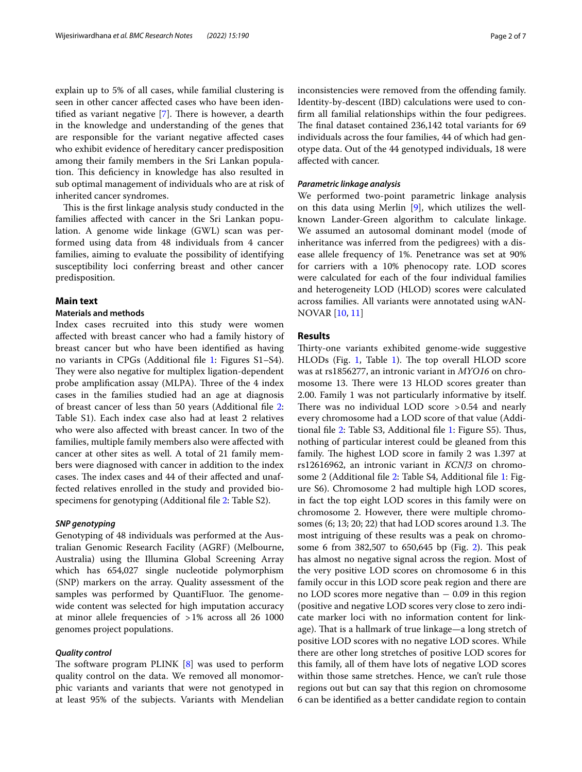explain up to 5% of all cases, while familial clustering is seen in other cancer afected cases who have been identified as variant negative  $[7]$  $[7]$ . There is however, a dearth in the knowledge and understanding of the genes that are responsible for the variant negative afected cases who exhibit evidence of hereditary cancer predisposition among their family members in the Sri Lankan population. This deficiency in knowledge has also resulted in sub optimal management of individuals who are at risk of inherited cancer syndromes.

This is the first linkage analysis study conducted in the families afected with cancer in the Sri Lankan population. A genome wide linkage (GWL) scan was performed using data from 48 individuals from 4 cancer families, aiming to evaluate the possibility of identifying susceptibility loci conferring breast and other cancer predisposition.

# **Main text**

# **Materials and methods**

Index cases recruited into this study were women afected with breast cancer who had a family history of breast cancer but who have been identifed as having no variants in CPGs (Additional fle [1:](#page-4-0) Figures S1–S4). They were also negative for multiplex ligation-dependent probe amplification assay (MLPA). Three of the 4 index cases in the families studied had an age at diagnosis of breast cancer of less than 50 years (Additional fle [2](#page-4-1): Table S1). Each index case also had at least 2 relatives who were also afected with breast cancer. In two of the families, multiple family members also were afected with cancer at other sites as well. A total of 21 family members were diagnosed with cancer in addition to the index cases. The index cases and 44 of their affected and unaffected relatives enrolled in the study and provided biospecimens for genotyping (Additional fle [2:](#page-4-1) Table S2).

# *SNP genotyping*

Genotyping of 48 individuals was performed at the Australian Genomic Research Facility (AGRF) (Melbourne, Australia) using the Illumina Global Screening Array which has 654,027 single nucleotide polymorphism (SNP) markers on the array. Quality assessment of the samples was performed by QuantiFluor. The genomewide content was selected for high imputation accuracy at minor allele frequencies of >1% across all 26 1000 genomes project populations.

#### *Quality control*

The software program PLINK  $[8]$  was used to perform quality control on the data. We removed all monomorphic variants and variants that were not genotyped in at least 95% of the subjects. Variants with Mendelian inconsistencies were removed from the ofending family. Identity-by-descent (IBD) calculations were used to confrm all familial relationships within the four pedigrees. The final dataset contained 236,142 total variants for 69 individuals across the four families, 44 of which had genotype data. Out of the 44 genotyped individuals, 18 were afected with cancer.

#### *Parametric linkage analysis*

We performed two-point parametric linkage analysis on this data using Merlin [\[9](#page-5-8)], which utilizes the wellknown Lander-Green algorithm to calculate linkage. We assumed an autosomal dominant model (mode of inheritance was inferred from the pedigrees) with a disease allele frequency of 1%. Penetrance was set at 90% for carriers with a 10% phenocopy rate. LOD scores were calculated for each of the four individual families and heterogeneity LOD (HLOD) scores were calculated across families. All variants were annotated using wAN-NOVAR [[10,](#page-5-9) [11\]](#page-5-10)

# **Results**

Thirty-one variants exhibited genome-wide suggestive HLODs (Fig. [1,](#page-2-0) Table [1\)](#page-2-1). The top overall HLOD score was at rs1856277, an intronic variant in *MYO16* on chromosome 13. There were 13 HLOD scores greater than 2.00. Family 1 was not particularly informative by itself. There was no individual LOD score  $>0.54$  and nearly every chromosome had a LOD score of that value (Addi-tional file [2](#page-4-1): Table S3, Additional file [1:](#page-4-0) Figure S5). Thus, nothing of particular interest could be gleaned from this family. The highest LOD score in family 2 was 1.397 at rs12616962, an intronic variant in *KCNJ3* on chromosome 2 (Additional fle [2](#page-4-1): Table S4, Additional fle [1:](#page-4-0) Figure S6). Chromosome 2 had multiple high LOD scores, in fact the top eight LOD scores in this family were on chromosome 2. However, there were multiple chromosomes  $(6; 13; 20; 22)$  that had LOD scores around 1.3. The most intriguing of these results was a peak on chromo-some 6 from 38[2](#page-3-0),507 to 650,645 bp (Fig. 2). This peak has almost no negative signal across the region. Most of the very positive LOD scores on chromosome 6 in this family occur in this LOD score peak region and there are no LOD scores more negative than  $-0.09$  in this region (positive and negative LOD scores very close to zero indicate marker loci with no information content for linkage). That is a hallmark of true linkage—a long stretch of positive LOD scores with no negative LOD scores. While there are other long stretches of positive LOD scores for this family, all of them have lots of negative LOD scores within those same stretches. Hence, we can't rule those regions out but can say that this region on chromosome 6 can be identifed as a better candidate region to contain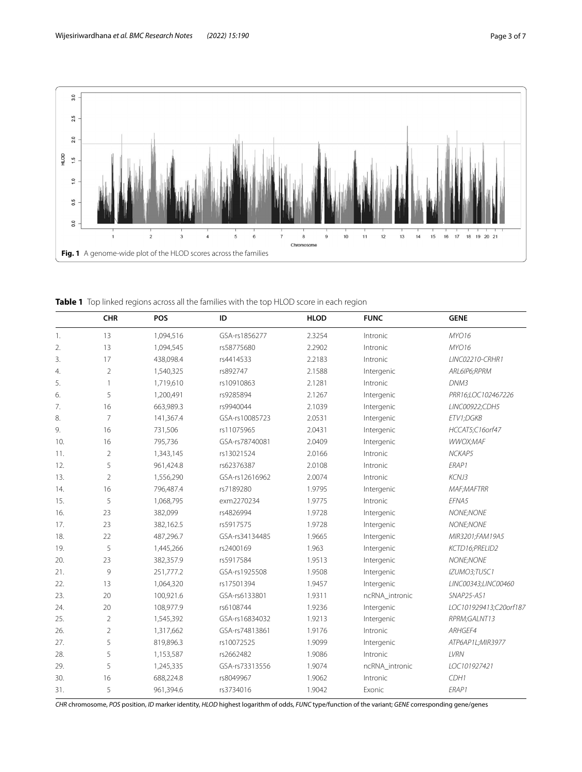

<span id="page-2-1"></span><span id="page-2-0"></span>**Table 1** Top linked regions across all the families with the top HLOD score in each region

|     | <b>CHR</b>      | POS       | ID             | <b>HLOD</b> | <b>FUNC</b>    | <b>GENE</b>            |
|-----|-----------------|-----------|----------------|-------------|----------------|------------------------|
| 1.  | 13              | 1,094,516 | GSA-rs1856277  | 2.3254      | Intronic       | MYO16                  |
| 2.  | 13              | 1,094,545 | rs58775680     | 2.2902      | Intronic       | MYO16                  |
| 3.  | 17              | 438,098.4 | rs4414533      | 2.2183      | Intronic       | LINC02210-CRHR1        |
| 4.  | $\overline{2}$  | 1,540,325 | rs892747       | 2.1588      | Intergenic     | ARL6IP6;RPRM           |
| 5.  | $\mathbf{1}$    | 1,719,610 | rs10910863     | 2.1281      | Intronic       | DNM3                   |
| 6.  | 5               | 1,200,491 | rs9285894      | 2.1267      | Intergenic     | PRR16;LOC102467226     |
| 7.  | 16              | 663,989.3 | rs9940044      | 2.1039      | Intergenic     | LINC00922;CDH5         |
| 8.  | $7\overline{ }$ | 141,367.4 | GSA-rs10085723 | 2.0531      | Intergenic     | ETV1;DGKB              |
| 9.  | 16              | 731,506   | rs11075965     | 2.0431      | Intergenic     | HCCAT5;C16orf47        |
| 10. | 16              | 795,736   | GSA-rs78740081 | 2.0409      | Intergenic     | WWOX;MAF               |
| 11. | $\overline{2}$  | 1,343,145 | rs13021524     | 2.0166      | Intronic       | NCKAP5                 |
| 12. | 5               | 961,424.8 | rs62376387     | 2.0108      | Intronic       | ERAP1                  |
| 13. | $\overline{2}$  | 1,556,290 | GSA-rs12616962 | 2.0074      | Intronic       | KCNJ3                  |
| 14. | 16              | 796,487.4 | rs7189280      | 1.9795      | Intergenic     | <b>MAF;MAFTRR</b>      |
| 15. | 5               | 1,068,795 | exm2270234     | 1.9775      | Intronic       | EFNA5                  |
| 16. | 23              | 382,099   | rs4826994      | 1.9728      | Intergenic     | NONE;NONE              |
| 17. | 23              | 382,162.5 | rs5917575      | 1.9728      | Intergenic     | NONE;NONE              |
| 18. | 22              | 487,296.7 | GSA-rs34134485 | 1.9665      | Intergenic     | MIR3201;FAM19A5        |
| 19. | 5               | 1,445,266 | rs2400169      | 1.963       | Intergenic     | KCTD16;PRELID2         |
| 20. | 23              | 382,357.9 | rs5917584      | 1.9513      | Intergenic     | NONE;NONE              |
| 21. | 9               | 251,777.2 | GSA-rs1925508  | 1.9508      | Intergenic     | IZUMO3;TUSC1           |
| 22. | 13              | 1,064,320 | rs17501394     | 1.9457      | Intergenic     | LINC00343;LINC00460    |
| 23. | 20              | 100,921.6 | GSA-rs6133801  | 1.9311      | ncRNA_intronic | SNAP25-AS1             |
| 24. | 20              | 108,977.9 | rs6108744      | 1.9236      | Intergenic     | LOC101929413;C20orf187 |
| 25. | $\overline{2}$  | 1,545,392 | GSA-rs16834032 | 1.9213      | Intergenic     | RPRM;GALNT13           |
| 26. | $\overline{2}$  | 1,317,662 | GSA-rs74813861 | 1.9176      | Intronic       | ARHGEF4                |
| 27. | 5               | 819,896.3 | rs10072525     | 1.9099      | Intergenic     | ATP6AP1L;MIR3977       |
| 28. | 5               | 1,153,587 | rs2662482      | 1.9086      | Intronic       | LVRN                   |
| 29. | 5               | 1,245,335 | GSA-rs73313556 | 1.9074      | ncRNA_intronic | LOC101927421           |
| 30. | 16              | 688,224.8 | rs8049967      | 1.9062      | Intronic       | CDH1                   |
| 31. | 5               | 961,394.6 | rs3734016      | 1.9042      | Exonic         | ERAP1                  |

*CHR* chromosome, *POS* position, *ID* marker identity, *HLOD* highest logarithm of odds, *FUNC* type/function of the variant; *GENE* corresponding gene/genes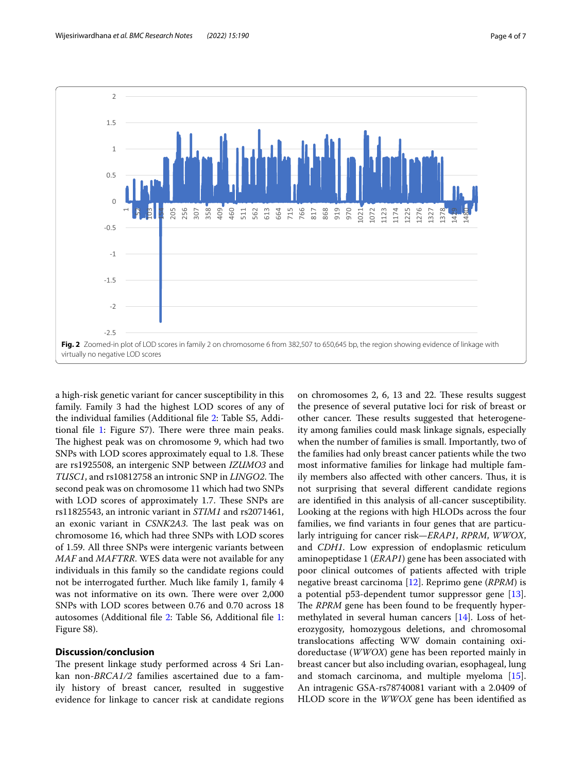

<span id="page-3-0"></span>a high-risk genetic variant for cancer susceptibility in this family. Family 3 had the highest LOD scores of any of the individual families (Additional fle [2](#page-4-1): Table S5, Addi-tional file [1](#page-4-0): Figure S7). There were three main peaks. The highest peak was on chromosome 9, which had two SNPs with LOD scores approximately equal to 1.8. These are rs1925508, an intergenic SNP between *IZUMO3* and *TUSC1*, and rs10812758 an intronic SNP in *LINGO2*. The second peak was on chromosome 11 which had two SNPs with LOD scores of approximately 1.7. These SNPs are rs11825543, an intronic variant in *STIM1* and rs2071461, an exonic variant in *CSNK2A3*. The last peak was on chromosome 16, which had three SNPs with LOD scores of 1.59. All three SNPs were intergenic variants between *MAF* and *MAFTRR*. WES data were not available for any individuals in this family so the candidate regions could not be interrogated further. Much like family 1, family 4 was not informative on its own. There were over 2,000 SNPs with LOD scores between 0.76 and 0.70 across 18 autosomes (Additional fle [2](#page-4-1): Table S6, Additional fle [1](#page-4-0): Figure S8).

#### **Discussion/conclusion**

The present linkage study performed across 4 Sri Lankan non-*BRCA1/2* families ascertained due to a family history of breast cancer, resulted in suggestive evidence for linkage to cancer risk at candidate regions on chromosomes 2, 6, 13 and 22. These results suggest the presence of several putative loci for risk of breast or other cancer. These results suggested that heterogeneity among families could mask linkage signals, especially when the number of families is small. Importantly, two of the families had only breast cancer patients while the two most informative families for linkage had multiple family members also affected with other cancers. Thus, it is not surprising that several diferent candidate regions are identifed in this analysis of all-cancer susceptibility. Looking at the regions with high HLODs across the four families, we fnd variants in four genes that are particularly intriguing for cancer risk—*ERAP1*, *RPRM*, *WWOX*, and *CDH1*. Low expression of endoplasmic reticulum aminopeptidase 1 (*ERAP1*) gene has been associated with poor clinical outcomes of patients afected with triple negative breast carcinoma [\[12\]](#page-5-11). Reprimo gene (*RPRM*) is a potential p53-dependent tumor suppressor gene [\[13](#page-5-12)]. The *RPRM* gene has been found to be frequently hypermethylated in several human cancers [[14\]](#page-5-13). Loss of heterozygosity, homozygous deletions, and chromosomal translocations afecting WW domain containing oxidoreductase (*WWOX*) gene has been reported mainly in breast cancer but also including ovarian, esophageal, lung and stomach carcinoma, and multiple myeloma [\[15](#page-5-14)]. An intragenic GSA-rs78740081 variant with a 2.0409 of HLOD score in the *WWOX* gene has been identifed as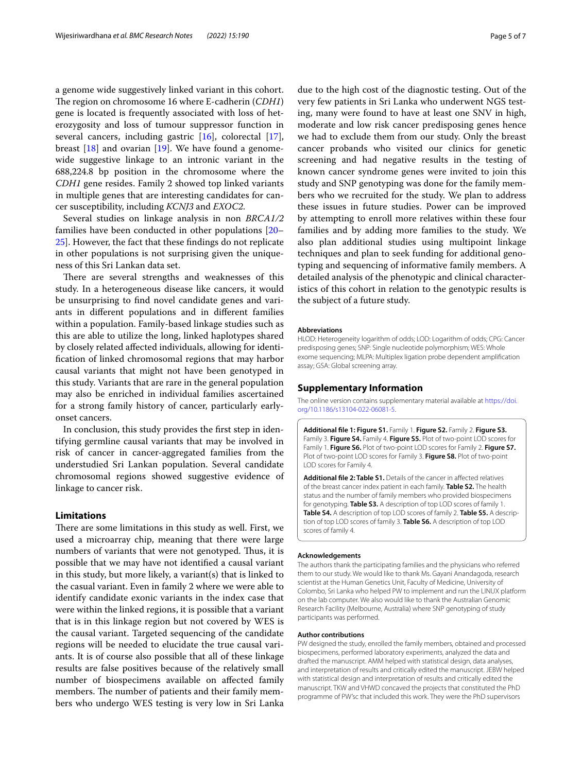a genome wide suggestively linked variant in this cohort. The region on chromosome 16 where E-cadherin (*CDH1*) gene is located is frequently associated with loss of heterozygosity and loss of tumour suppressor function in several cancers, including gastric [[16\]](#page-5-15), colorectal [\[17](#page-5-16)], breast  $[18]$  $[18]$  and ovarian  $[19]$  $[19]$ . We have found a genomewide suggestive linkage to an intronic variant in the 688,224.8 bp position in the chromosome where the *CDH1* gene resides. Family 2 showed top linked variants in multiple genes that are interesting candidates for cancer susceptibility, including *KCNJ3* and *EXOC2*.

Several studies on linkage analysis in non *BRCA1/2* families have been conducted in other populations [[20–](#page-5-19) [25\]](#page-5-20). However, the fact that these fndings do not replicate in other populations is not surprising given the uniqueness of this Sri Lankan data set.

There are several strengths and weaknesses of this study. In a heterogeneous disease like cancers, it would be unsurprising to fnd novel candidate genes and variants in diferent populations and in diferent families within a population. Family-based linkage studies such as this are able to utilize the long, linked haplotypes shared by closely related afected individuals, allowing for identifcation of linked chromosomal regions that may harbor causal variants that might not have been genotyped in this study. Variants that are rare in the general population may also be enriched in individual families ascertained for a strong family history of cancer, particularly earlyonset cancers.

In conclusion, this study provides the frst step in identifying germline causal variants that may be involved in risk of cancer in cancer-aggregated families from the understudied Sri Lankan population. Several candidate chromosomal regions showed suggestive evidence of linkage to cancer risk.

# **Limitations**

There are some limitations in this study as well. First, we used a microarray chip, meaning that there were large numbers of variants that were not genotyped. Thus, it is possible that we may have not identifed a causal variant in this study, but more likely, a variant(s) that is linked to the casual variant. Even in family 2 where we were able to identify candidate exonic variants in the index case that were within the linked regions, it is possible that a variant that is in this linkage region but not covered by WES is the causal variant. Targeted sequencing of the candidate regions will be needed to elucidate the true causal variants. It is of course also possible that all of these linkage results are false positives because of the relatively small number of biospecimens available on afected family members. The number of patients and their family members who undergo WES testing is very low in Sri Lanka

due to the high cost of the diagnostic testing. Out of the very few patients in Sri Lanka who underwent NGS testing, many were found to have at least one SNV in high, moderate and low risk cancer predisposing genes hence we had to exclude them from our study. Only the breast cancer probands who visited our clinics for genetic screening and had negative results in the testing of known cancer syndrome genes were invited to join this study and SNP genotyping was done for the family members who we recruited for the study. We plan to address these issues in future studies. Power can be improved by attempting to enroll more relatives within these four families and by adding more families to the study. We also plan additional studies using multipoint linkage techniques and plan to seek funding for additional genotyping and sequencing of informative family members. A detailed analysis of the phenotypic and clinical characteristics of this cohort in relation to the genotypic results is the subject of a future study.

#### **Abbreviations**

HLOD: Heterogeneity logarithm of odds; LOD: Logarithm of odds; CPG: Cancer predisposing genes; SNP: Single nucleotide polymorphism; WES: Whole exome sequencing; MLPA: Multiplex ligation probe dependent amplifcation assay; GSA: Global screening array.

#### **Supplementary Information**

The online version contains supplementary material available at [https://doi.](https://doi.org/10.1186/s13104-022-06081-5) [org/10.1186/s13104-022-06081-5](https://doi.org/10.1186/s13104-022-06081-5).

<span id="page-4-0"></span>**Additional fle 1: Figure S1.** Family 1. **Figure S2.** Family 2. **Figure S3.** Family 3. **Figure S4.** Family 4. **Figure S5.** Plot of two-point LOD scores for Family 1. **Figure S6.** Plot of two-point LOD scores for Family 2. **Figure S7.** Plot of two-point LOD scores for Family 3. **Figure S8.** Plot of two-point LOD scores for Family 4.

<span id="page-4-1"></span>Additional file 2: Table S1. Details of the cancer in affected relatives of the breast cancer index patient in each family. **Table S2.** The health status and the number of family members who provided biospecimens for genotyping. **Table S3.** A description of top LOD scores of family 1. **Table S4.** A description of top LOD scores of family 2. **Table S5.** A descrip‑ tion of top LOD scores of family 3. **Table S6.** A description of top LOD scores of family 4.

#### **Acknowledgements**

The authors thank the participating families and the physicians who referred them to our study. We would like to thank Ms. Gayani Anandagoda, research scientist at the Human Genetics Unit, Faculty of Medicine, University of Colombo, Sri Lanka who helped PW to implement and run the LINUX platform on the lab computer. We also would like to thank the Australian Genomic Research Facility (Melbourne, Australia) where SNP genotyping of study participants was performed.

#### **Author contributions**

PW designed the study, enrolled the family members, obtained and processed biospecimens, performed laboratory experiments, analyzed the data and drafted the manuscript. AMM helped with statistical design, data analyses, and interpretation of results and critically edited the manuscript. JEBW helped with statistical design and interpretation of results and critically edited the manuscript. TKW and VHWD concaved the projects that constituted the PhD programme of PW'sc that included this work. They were the PhD supervisors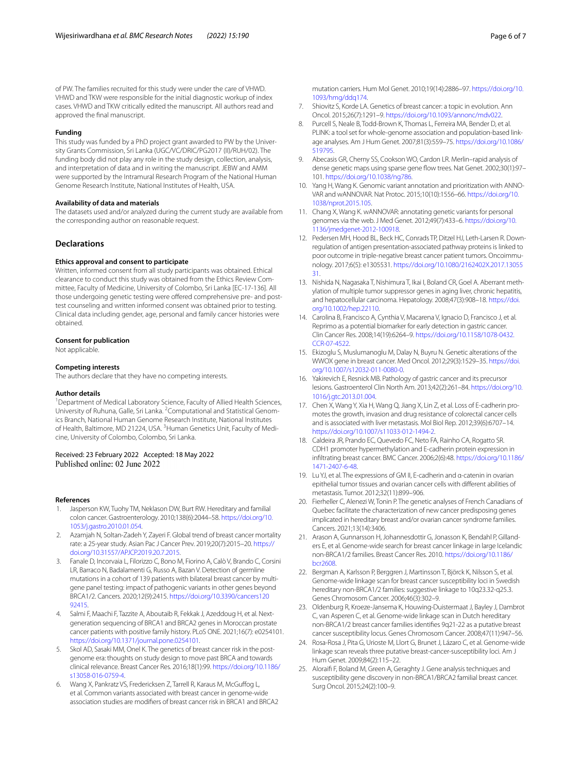of PW. The families recruited for this study were under the care of VHWD. VHWD and TKW were responsible for the initial diagnostic workup of index cases. VHWD and TKW critically edited the manuscript. All authors read and approved the fnal manuscript.

#### **Funding**

This study was funded by a PhD project grant awarded to PW by the University Grants Commission, Sri Lanka (UGC/VC/DRIC/PG2017 (II)/RUH/02). The funding body did not play any role in the study design, collection, analysis, and interpretation of data and in writing the manuscript. JEBW and AMM were supported by the Intramural Research Program of the National Human Genome Research Institute, National Institutes of Health, USA.

#### **Availability of data and materials**

The datasets used and/or analyzed during the current study are available from the corresponding author on reasonable request.

#### **Declarations**

#### **Ethics approval and consent to participate**

Written, informed consent from all study participants was obtained. Ethical clearance to conduct this study was obtained from the Ethics Review Committee, Faculty of Medicine, University of Colombo, Sri Lanka [EC-17-136]. All those undergoing genetic testing were offered comprehensive pre- and posttest counseling and written informed consent was obtained prior to testing. Clinical data including gender, age, personal and family cancer histories were obtained.

#### **Consent for publication**

Not applicable.

#### **Competing interests**

The authors declare that they have no competing interests.

#### **Author details**

<sup>1</sup> Department of Medical Laboratory Science, Faculty of Allied Health Sciences, University of Ruhuna, Galle, Sri Lanka. <sup>2</sup> Computational and Statistical Genomics Branch, National Human Genome Research Institute, National Institutes of Health, Baltimore, MD 21224, USA. <sup>3</sup> Human Genetics Unit, Faculty of Medicine, University of Colombo, Colombo, Sri Lanka.

# Received: 23 February 2022 Accepted: 18 May 2022

#### **References**

- <span id="page-5-0"></span>1. Jasperson KW, Tuohy TM, Neklason DW, Burt RW. Hereditary and familial colon cancer. Gastroenterology. 2010;138(6):2044–58. [https://doi.org/10.](https://doi.org/10.1053/j.gastro.2010.01.054) [1053/j.gastro.2010.01.054.](https://doi.org/10.1053/j.gastro.2010.01.054)
- <span id="page-5-1"></span>2. Azamjah N, Soltan-Zadeh Y, Zayeri F. Global trend of breast cancer mortality rate: a 25-year study. Asian Pac J Cancer Prev. 2019;20(7):2015–20. [https://](https://doi.org/10.31557/APJCP.2019.20.7.2015) [doi.org/10.31557/APJCP.2019.20.7.2015.](https://doi.org/10.31557/APJCP.2019.20.7.2015)
- <span id="page-5-2"></span>3. Fanale D, Incorvaia L, Filorizzo C, Bono M, Fiorino A, Calò V, Brando C, Corsini LR, Barraco N, Badalamenti G, Russo A, Bazan V. Detection of germline mutations in a cohort of 139 patients with bilateral breast cancer by multigene panel testing: impact of pathogenic variants in other genes beyond BRCA1/2. Cancers. 2020;12(9):2415. [https://doi.org/10.3390/cancers120](https://doi.org/10.3390/cancers12092415) [92415](https://doi.org/10.3390/cancers12092415).
- <span id="page-5-3"></span>4. Salmi F, Maachi F, Tazzite A, Aboutaib R, Fekkak J, Azeddoug H, et al. Nextgeneration sequencing of BRCA1 and BRCA2 genes in Moroccan prostate cancer patients with positive family history. PLoS ONE. 2021;16(7): e0254101. [https://doi.org/10.1371/journal.pone.0254101.](https://doi.org/10.1371/journal.pone.0254101)
- <span id="page-5-4"></span>5. Skol AD, Sasaki MM, Onel K. The genetics of breast cancer risk in the postgenome era: thoughts on study design to move past BRCA and towards clinical relevance. Breast Cancer Res. 2016;18(1):99. [https://doi.org/10.1186/](https://doi.org/10.1186/s13058-016-0759-4) [s13058-016-0759-4.](https://doi.org/10.1186/s13058-016-0759-4)
- <span id="page-5-5"></span>6. Wang X, Pankratz VS, Fredericksen Z, Tarrell R, Karaus M, McGufog L, et al. Common variants associated with breast cancer in genome-wide association studies are modifers of breast cancer risk in BRCA1 and BRCA2
- <span id="page-5-6"></span>7. Shiovitz S, Korde LA. Genetics of breast cancer: a topic in evolution. Ann Oncol. 2015;26(7):1291–9.<https://doi.org/10.1093/annonc/mdv022>.
- <span id="page-5-7"></span>8. Purcell S, Neale B, Todd-Brown K, Thomas L, Ferreira MA, Bender D, et al. PLINK: a tool set for whole-genome association and population-based linkage analyses. Am J Hum Genet. 2007;81(3):559–75. [https://doi.org/10.1086/](https://doi.org/10.1086/519795) [519795](https://doi.org/10.1086/519795).
- <span id="page-5-8"></span>Abecasis GR, Cherny SS, Cookson WO, Cardon LR. Merlin-rapid analysis of dense genetic maps using sparse gene fow trees. Nat Genet. 2002;30(1):97– 101.<https://doi.org/10.1038/ng786>.
- <span id="page-5-9"></span>10. Yang H, Wang K. Genomic variant annotation and prioritization with ANNO-VAR and wANNOVAR. Nat Protoc. 2015;10(10):1556–66. [https://doi.org/10.](https://doi.org/10.1038/nprot.2015.105) [1038/nprot.2015.105.](https://doi.org/10.1038/nprot.2015.105)
- <span id="page-5-10"></span>11. Chang X, Wang K. wANNOVAR: annotating genetic variants for personal genomes via the web. J Med Genet. 2012;49(7):433–6. [https://doi.org/10.](https://doi.org/10.1136/jmedgenet-2012-100918) [1136/jmedgenet-2012-100918](https://doi.org/10.1136/jmedgenet-2012-100918).
- <span id="page-5-11"></span>12. Pedersen MH, Hood BL, Beck HC, Conrads TP, Ditzel HJ, Leth-Larsen R. Downregulation of antigen presentation-associated pathway proteins is linked to poor outcome in triple-negative breast cancer patient tumors. Oncoimmunology. 2017;6(5): e1305531. [https://doi.org/10.1080/2162402X.2017.13055](https://doi.org/10.1080/2162402X.2017.1305531) [31.](https://doi.org/10.1080/2162402X.2017.1305531)
- <span id="page-5-12"></span>13. Nishida N, Nagasaka T, Nishimura T, Ikai I, Boland CR, Goel A. Aberrant methylation of multiple tumor suppressor genes in aging liver, chronic hepatitis, and hepatocellular carcinoma. Hepatology. 2008;47(3):908–18. [https://doi.](https://doi.org/10.1002/hep.22110) [org/10.1002/hep.22110.](https://doi.org/10.1002/hep.22110)
- <span id="page-5-13"></span>14. Carolina B, Francisco A, Cynthia V, Macarena V, Ignacio D, Francisco J, et al. Reprimo as a potential biomarker for early detection in gastric cancer. Clin Cancer Res. 2008;14(19):6264–9. [https://doi.org/10.1158/1078-0432.](https://doi.org/10.1158/1078-0432.CCR-07-4522) [CCR-07-4522](https://doi.org/10.1158/1078-0432.CCR-07-4522).
- <span id="page-5-14"></span>15. Ekizoglu S, Muslumanoglu M, Dalay N, Buyru N. Genetic alterations of the WWOX gene in breast cancer. Med Oncol. 2012;29(3):1529–35. [https://doi.](https://doi.org/10.1007/s12032-011-0080-0) [org/10.1007/s12032-011-0080-0.](https://doi.org/10.1007/s12032-011-0080-0)
- <span id="page-5-15"></span>16. Yakirevich E, Resnick MB. Pathology of gastric cancer and its precursor lesions. Gastroenterol Clin North Am. 2013;42(2):261–84. [https://doi.org/10.](https://doi.org/10.1016/j.gtc.2013.01.004) [1016/j.gtc.2013.01.004](https://doi.org/10.1016/j.gtc.2013.01.004).
- <span id="page-5-16"></span>17. Chen X, Wang Y, Xia H, Wang Q, Jiang X, Lin Z, et al. Loss of E-cadherin promotes the growth, invasion and drug resistance of colorectal cancer cells and is associated with liver metastasis. Mol Biol Rep. 2012;39(6):6707–14. <https://doi.org/10.1007/s11033-012-1494-2>.
- <span id="page-5-17"></span>18. Caldeira JR, Prando EC, Quevedo FC, Neto FA, Rainho CA, Rogatto SR. CDH1 promoter hypermethylation and E-cadherin protein expression in infltrating breast cancer. BMC Cancer. 2006;2(6):48. [https://doi.org/10.1186/](https://doi.org/10.1186/1471-2407-6-48) [1471-2407-6-48](https://doi.org/10.1186/1471-2407-6-48).
- <span id="page-5-18"></span>19. Lu YJ, et al. The expressions of GM II, E-cadherin and α-catenin in ovarian epithelial tumor tissues and ovarian cancer cells with diferent abilities of metastasis. Tumor. 2012;32(11):899–906.
- <span id="page-5-19"></span>20. Fierheller C, Alenezi W, Tonin P. The genetic analyses of French Canadians of Quebec facilitate the characterization of new cancer predisposing genes implicated in hereditary breast and/or ovarian cancer syndrome families. Cancers. 2021;13(14):3406.
- 21. Arason A, Gunnarsson H, Johannesdottir G, Jonasson K, Bendahl P, Gillanders E, et al. Genome-wide search for breast cancer linkage in large Icelandic non-BRCA1/2 families. Breast Cancer Res. 2010. [https://doi.org/10.1186/](https://doi.org/10.1186/bcr2608) [bcr2608](https://doi.org/10.1186/bcr2608).
- 22. Bergman A, Karlsson P, Berggren J, Martinsson T, Björck K, Nilsson S, et al. Genome-wide linkage scan for breast cancer susceptibility loci in Swedish hereditary non-BRCA1/2 families: suggestive linkage to 10q23.32-q25.3. Genes Chromosom Cancer. 2006;46(3):302–9.
- 23. Oldenburg R, Kroeze-Jansema K, Houwing-Duistermaat J, Bayley J, Dambrot C, van Asperen C, et al. Genome-wide linkage scan in Dutch hereditary non-BRCA1/2 breast cancer families identifes 9q21-22 as a putative breast cancer susceptibility locus. Genes Chromosom Cancer. 2008;47(11):947–56.
- 24. Rosa-Rosa J, Pita G, Urioste M, Llort G, Brunet J, Lázaro C, et al. Genome-wide linkage scan reveals three putative breast-cancer-susceptibility loci. Am J Hum Genet. 2009;84(2):115–22.
- <span id="page-5-20"></span>25. Aloraif F, Boland M, Green A, Geraghty J. Gene analysis techniques and susceptibility gene discovery in non-BRCA1/BRCA2 familial breast cancer. Surg Oncol. 2015;24(2):100–9.